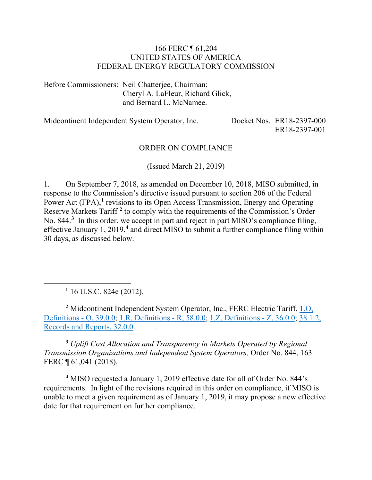#### 166 FERC ¶ 61,204 UNITED STATES OF AMERICA FEDERAL ENERGY REGULATORY COMMISSION

Before Commissioners: Neil Chatterjee, Chairman; Cheryl A. LaFleur, Richard Glick, and Bernard L. McNamee.

Midcontinent Independent System Operator, Inc. Docket Nos. ER18-2397-000

ER18-2397-001

#### ORDER ON COMPLIANCE

(Issued March 21, 2019)

1. On September 7, 2018, as amended on December 10, 2018, MISO submitted, in response to the Commission's directive issued pursuant to section 206 of the Federal Power Act (FPA),<sup>[1](#page-0-0)</sup> revisions to its Open Access Transmission, Energy and Operating Reserve Markets Tariff **[2](#page-0-1)** to comply with the requirements of the Commission's Order No. 844. **[3](#page-0-2)** In this order, we accept in part and reject in part MISO's compliance filing, effective January 1, 2019,**[4](#page-0-3)** and direct MISO to submit a further compliance filing within 30 days, as discussed below.

**<sup>1</sup>** 16 U.S.C. 824e (2012).

<span id="page-0-0"></span> $\overline{a}$ 

<span id="page-0-1"></span>**<sup>2</sup>** Midcontinent Independent System Operator, Inc., FERC Electric Tariff, [1.O,](http://etariff.ferc.gov/TariffSectionDetails.aspx?tid=1162&sid=242346)  [Definitions -](http://etariff.ferc.gov/TariffSectionDetails.aspx?tid=1162&sid=242346) O, 39.0.0; [1.R, Definitions -](http://etariff.ferc.gov/TariffSectionDetails.aspx?tid=1162&sid=242345) R, 58.0.0; [1.Z, Definitions -](http://etariff.ferc.gov/TariffSectionDetails.aspx?tid=1162&sid=242344) Z, 36.0.0; [38.1.2,](http://etariff.ferc.gov/TariffSectionDetails.aspx?tid=1162&sid=247335)  [Records and Reports, 32.0.0.](http://etariff.ferc.gov/TariffSectionDetails.aspx?tid=1162&sid=247335) .

<span id="page-0-2"></span>**<sup>3</sup>** *Uplift Cost Allocation and Transparency in Markets Operated by Regional Transmission Organizations and Independent System Operators,* Order No. 844, 163 FERC ¶ 61,041 (2018).

<span id="page-0-3"></span>**<sup>4</sup>** MISO requested a January 1, 2019 effective date for all of Order No. 844's requirements. In light of the revisions required in this order on compliance, if MISO is unable to meet a given requirement as of January 1, 2019, it may propose a new effective date for that requirement on further compliance.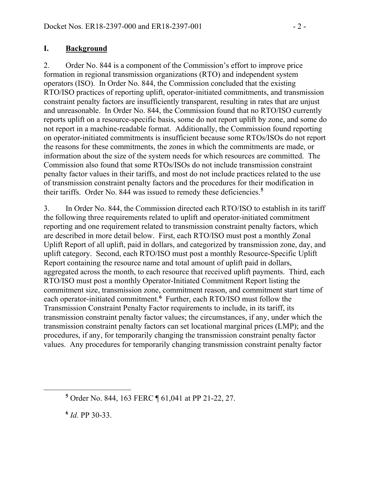#### **I. Background**

2. Order No. 844 is a component of the Commission's effort to improve price formation in regional transmission organizations (RTO) and independent system operators (ISO). In Order No. 844, the Commission concluded that the existing RTO/ISO practices of reporting uplift, operator-initiated commitments, and transmission constraint penalty factors are insufficiently transparent, resulting in rates that are unjust and unreasonable. In Order No. 844, the Commission found that no RTO/ISO currently reports uplift on a resource-specific basis, some do not report uplift by zone, and some do not report in a machine-readable format. Additionally, the Commission found reporting on operator-initiated commitments is insufficient because some RTOs/ISOs do not report the reasons for these commitments, the zones in which the commitments are made, or information about the size of the system needs for which resources are committed. The Commission also found that some RTOs/ISOs do not include transmission constraint penalty factor values in their tariffs, and most do not include practices related to the use of transmission constraint penalty factors and the procedures for their modification in their tariffs. Order No. 844 was issued to remedy these deficiencies. **[5](#page-1-0)**

3. In Order No. 844, the Commission directed each RTO/ISO to establish in its tariff the following three requirements related to uplift and operator-initiated commitment reporting and one requirement related to transmission constraint penalty factors, which are described in more detail below. First, each RTO/ISO must post a monthly Zonal Uplift Report of all uplift, paid in dollars, and categorized by transmission zone, day, and uplift category. Second, each RTO/ISO must post a monthly Resource-Specific Uplift Report containing the resource name and total amount of uplift paid in dollars, aggregated across the month, to each resource that received uplift payments. Third, each RTO/ISO must post a monthly Operator-Initiated Commitment Report listing the commitment size, transmission zone, commitment reason, and commitment start time of each operator-initiated commitment.<sup>[6](#page-1-1)</sup> Further, each RTO/ISO must follow the Transmission Constraint Penalty Factor requirements to include, in its tariff, its transmission constraint penalty factor values; the circumstances, if any, under which the transmission constraint penalty factors can set locational marginal prices (LMP); and the procedures, if any, for temporarily changing the transmission constraint penalty factor values. Any procedures for temporarily changing transmission constraint penalty factor

**<sup>6</sup>** *Id.* PP 30-33.

<span id="page-1-1"></span><span id="page-1-0"></span> $\overline{a}$ 

**<sup>5</sup>** Order No. 844, 163 FERC ¶ 61,041 at PP 21-22, 27.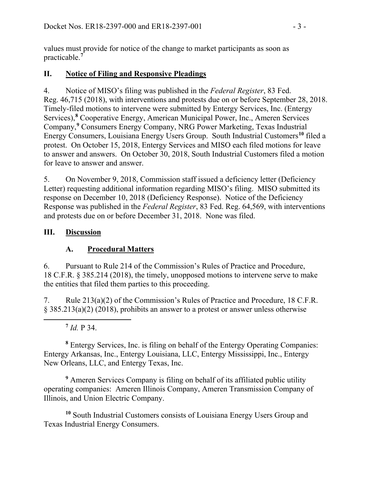values must provide for notice of the change to market participants as soon as practicable.**[7](#page-2-0)**

#### **II. Notice of Filing and Responsive Pleadings**

4. Notice of MISO's filing was published in the *Federal Register*, 83 Fed. Reg. 46,715 (2018), with interventions and protests due on or before September 28, 2018. Timely-filed motions to intervene were submitted by Entergy Services, Inc. (Entergy Services), **[8](#page-2-1)** Cooperative Energy, American Municipal Power, Inc., Ameren Services Company,**[9](#page-2-2)** Consumers Energy Company, NRG Power Marketing, Texas Industrial Energy Consumers, Louisiana Energy Users Group. South Industrial Customers**[10](#page-2-3)** filed a protest. On October 15, 2018, Entergy Services and MISO each filed motions for leave to answer and answers. On October 30, 2018, South Industrial Customers filed a motion for leave to answer and answer.

5. On November 9, 2018, Commission staff issued a deficiency letter (Deficiency Letter) requesting additional information regarding MISO's filing. MISO submitted its response on December 10, 2018 (Deficiency Response). Notice of the Deficiency Response was published in the *Federal Register*, 83 Fed. Reg. 64,569, with interventions and protests due on or before December 31, 2018. None was filed.

#### **III. Discussion**

### **A. Procedural Matters**

6. Pursuant to Rule 214 of the Commission's Rules of Practice and Procedure, 18 C.F.R. § 385.214 (2018), the timely, unopposed motions to intervene serve to make the entities that filed them parties to this proceeding.

7. Rule 213(a)(2) of the Commission's Rules of Practice and Procedure, 18 C.F.R. § 385.213(a)(2) (2018), prohibits an answer to a protest or answer unless otherwise

# **<sup>7</sup>** *Id.* P 34.

<span id="page-2-0"></span> $\overline{a}$ 

<span id="page-2-1"></span>**<sup>8</sup>** Entergy Services, Inc. is filing on behalf of the Entergy Operating Companies: Entergy Arkansas, Inc., Entergy Louisiana, LLC, Entergy Mississippi, Inc., Entergy New Orleans, LLC, and Entergy Texas, Inc.

<span id="page-2-2"></span>**<sup>9</sup>** Ameren Services Company is filing on behalf of its affiliated public utility operating companies: Ameren Illinois Company, Ameren Transmission Company of Illinois, and Union Electric Company.

<span id="page-2-3"></span>**<sup>10</sup>** South Industrial Customers consists of Louisiana Energy Users Group and Texas Industrial Energy Consumers.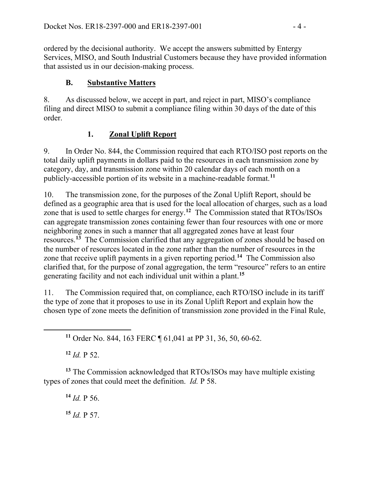ordered by the decisional authority. We accept the answers submitted by Entergy Services, MISO, and South Industrial Customers because they have provided information that assisted us in our decision-making process.

# **B. Substantive Matters**

8. As discussed below, we accept in part, and reject in part, MISO's compliance filing and direct MISO to submit a compliance filing within 30 days of the date of this order.

# **1. Zonal Uplift Report**

9. In Order No. 844, the Commission required that each RTO/ISO post reports on the total daily uplift payments in dollars paid to the resources in each transmission zone by category, day, and transmission zone within 20 calendar days of each month on a publicly-accessible portion of its website in a machine-readable format.**[11](#page-3-0)**

10. The transmission zone, for the purposes of the Zonal Uplift Report, should be defined as a geographic area that is used for the local allocation of charges, such as a load zone that is used to settle charges for energy.**[12](#page-3-1)** The Commission stated that RTOs/ISOs can aggregate transmission zones containing fewer than four resources with one or more neighboring zones in such a manner that all aggregated zones have at least four resources.**[13](#page-3-2)** The Commission clarified that any aggregation of zones should be based on the number of resources located in the zone rather than the number of resources in the zone that receive uplift payments in a given reporting period.**[14](#page-3-3)** The Commission also clarified that, for the purpose of zonal aggregation, the term "resource" refers to an entire generating facility and not each individual unit within a plant.**[15](#page-3-4)**

11. The Commission required that, on compliance, each RTO/ISO include in its tariff the type of zone that it proposes to use in its Zonal Uplift Report and explain how the chosen type of zone meets the definition of transmission zone provided in the Final Rule,

**<sup>11</sup>** Order No. 844, 163 FERC ¶ 61,041 at PP 31, 36, 50, 60-62.

**<sup>12</sup>** *Id.* P 52.

<span id="page-3-0"></span> $\overline{a}$ 

<span id="page-3-4"></span><span id="page-3-3"></span><span id="page-3-2"></span><span id="page-3-1"></span>**<sup>13</sup>** The Commission acknowledged that RTOs/ISOs may have multiple existing types of zones that could meet the definition. *Id.* P 58.

**<sup>14</sup>** *Id.* P 56.

**<sup>15</sup>** *Id.* P 57.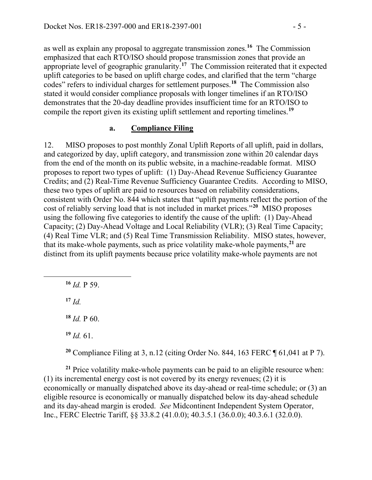as well as explain any proposal to aggregate transmission zones.**[16](#page-4-0)** The Commission emphasized that each RTO/ISO should propose transmission zones that provide an appropriate level of geographic granularity.**[17](#page-4-1)** The Commission reiterated that it expected uplift categories to be based on uplift charge codes, and clarified that the term "charge codes" refers to individual charges for settlement purposes.**[18](#page-4-2)** The Commission also stated it would consider compliance proposals with longer timelines if an RTO/ISO demonstrates that the 20-day deadline provides insufficient time for an RTO/ISO to compile the report given its existing uplift settlement and reporting timelines.**[19](#page-4-3)**

#### **a. Compliance Filing**

12. MISO proposes to post monthly Zonal Uplift Reports of all uplift, paid in dollars, and categorized by day, uplift category, and transmission zone within 20 calendar days from the end of the month on its public website, in a machine-readable format. MISO proposes to report two types of uplift: (1) Day-Ahead Revenue Sufficiency Guarantee Credits; and (2) Real-Time Revenue Sufficiency Guarantee Credits. According to MISO, these two types of uplift are paid to resources based on reliability considerations, consistent with Order No. 844 which states that "uplift payments reflect the portion of the cost of reliably serving load that is not included in market prices."**[20](#page-4-4)** MISO proposes using the following five categories to identify the cause of the uplift: (1) Day-Ahead Capacity; (2) Day-Ahead Voltage and Local Reliability (VLR); (3) Real Time Capacity; (4) Real Time VLR; and (5) Real Time Transmission Reliability. MISO states, however, that its make-whole payments, such as price volatility make-whole payments,**[21](#page-4-5)** are distinct from its uplift payments because price volatility make-whole payments are not

**<sup>16</sup>** *Id.* P 59.

 $17$  *Id.* 

<span id="page-4-2"></span><span id="page-4-1"></span><span id="page-4-0"></span> $\overline{a}$ 

 $18$  *Id.* P 60.

**<sup>19</sup>** *Id.* 61.

**<sup>20</sup>** Compliance Filing at 3, n.12 (citing Order No. 844, 163 FERC ¶ 61,041 at P 7).

<span id="page-4-5"></span><span id="page-4-4"></span><span id="page-4-3"></span>**<sup>21</sup>** Price volatility make-whole payments can be paid to an eligible resource when: (1) its incremental energy cost is not covered by its energy revenues; (2) it is economically or manually dispatched above its day-ahead or real-time schedule; or (3) an eligible resource is economically or manually dispatched below its day-ahead schedule and its day-ahead margin is eroded. *See* Midcontinent Independent System Operator, Inc., FERC Electric Tariff, §§ 33.8.2 (41.0.0); 40.3.5.1 (36.0.0); 40.3.6.1 (32.0.0).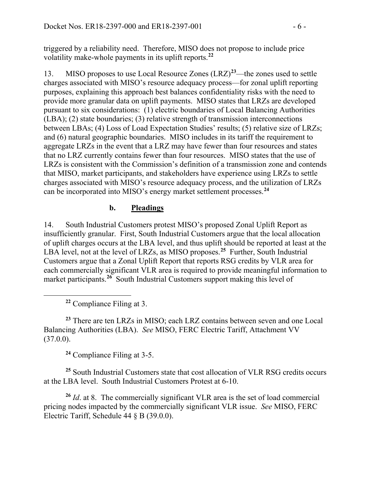triggered by a reliability need. Therefore, MISO does not propose to include price volatility make-whole payments in its uplift reports.**[22](#page-5-0)**

13. MISO proposes to use Local Resource Zones (LRZ)**[23](#page-5-1)**—the zones used to settle charges associated with MISO's resource adequacy process—for zonal uplift reporting purposes, explaining this approach best balances confidentiality risks with the need to provide more granular data on uplift payments. MISO states that LRZs are developed pursuant to six considerations: (1) electric boundaries of Local Balancing Authorities (LBA); (2) state boundaries; (3) relative strength of transmission interconnections between LBAs; (4) Loss of Load Expectation Studies' results; (5) relative size of LRZs; and (6) natural geographic boundaries. MISO includes in its tariff the requirement to aggregate LRZs in the event that a LRZ may have fewer than four resources and states that no LRZ currently contains fewer than four resources. MISO states that the use of LRZs is consistent with the Commission's definition of a transmission zone and contends that MISO, market participants, and stakeholders have experience using LRZs to settle charges associated with MISO's resource adequacy process, and the utilization of LRZs can be incorporated into MISO's energy market settlement processes.**[24](#page-5-2)**

#### **b. Pleadings**

14. South Industrial Customers protest MISO's proposed Zonal Uplift Report as insufficiently granular. First, South Industrial Customers argue that the local allocation of uplift charges occurs at the LBA level, and thus uplift should be reported at least at the LBA level, not at the level of LRZs, as MISO proposes.<sup>[25](#page-5-3)</sup> Further, South Industrial Customers argue that a Zonal Uplift Report that reports RSG credits by VLR area for each commercially significant VLR area is required to provide meaningful information to market participants.<sup>[26](#page-5-4)</sup> South Industrial Customers support making this level of

**<sup>22</sup>** Compliance Filing at 3.

<span id="page-5-0"></span> $\overline{a}$ 

<span id="page-5-1"></span>**<sup>23</sup>** There are ten LRZs in MISO; each LRZ contains between seven and one Local Balancing Authorities (LBA). *See* MISO, FERC Electric Tariff, Attachment VV  $(37.0.0)$ .

**<sup>24</sup>** Compliance Filing at 3-5.

<span id="page-5-3"></span><span id="page-5-2"></span>**<sup>25</sup>** South Industrial Customers state that cost allocation of VLR RSG credits occurs at the LBA level. South Industrial Customers Protest at 6-10.

<span id="page-5-4"></span>**<sup>26</sup>** *Id*. at 8. The commercially significant VLR area is the set of load commercial pricing nodes impacted by the commercially significant VLR issue. *See* MISO, FERC Electric Tariff, Schedule 44 § B (39.0.0).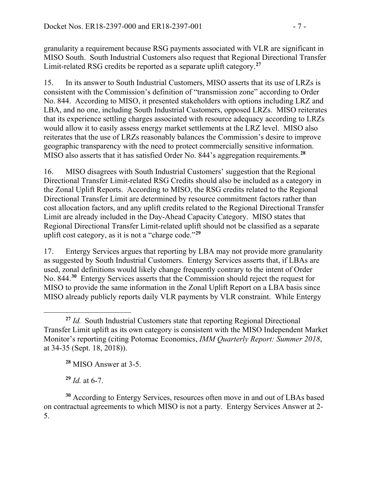granularity a requirement because RSG payments associated with VLR are significant in MISO South. South Industrial Customers also request that Regional Directional Transfer Limit-related RSG credits be reported as a separate uplift category.**[27](#page-6-0)**

15. In its answer to South Industrial Customers, MISO asserts that its use of LRZs is consistent with the Commission's definition of "transmission zone" according to Order No. 844. According to MISO, it presented stakeholders with options including LRZ and LBA, and no one, including South Industrial Customers, opposed LRZs. MISO reiterates that its experience settling charges associated with resource adequacy according to LRZs would allow it to easily assess energy market settlements at the LRZ level. MISO also reiterates that the use of LRZs reasonably balances the Commission's desire to improve geographic transparency with the need to protect commercially sensitive information. MISO also asserts that it has satisfied Order No. 844's aggregation requirements.**[28](#page-6-1)**

16. MISO disagrees with South Industrial Customers' suggestion that the Regional Directional Transfer Limit-related RSG Credits should also be included as a category in the Zonal Uplift Reports. According to MISO, the RSG credits related to the Regional Directional Transfer Limit are determined by resource commitment factors rather than cost allocation factors, and any uplift credits related to the Regional Directional Transfer Limit are already included in the Day-Ahead Capacity Category. MISO states that Regional Directional Transfer Limit-related uplift should not be classified as a separate uplift cost category, as it is not a "charge code."**[29](#page-6-2)**

17. Entergy Services argues that reporting by LBA may not provide more granularity as suggested by South Industrial Customers. Entergy Services asserts that, if LBAs are used, zonal definitions would likely change frequently contrary to the intent of Order No. 844.**[30](#page-6-3)** Entergy Services asserts that the Commission should reject the request for MISO to provide the same information in the Zonal Uplift Report on a LBA basis since MISO already publicly reports daily VLR payments by VLR constraint. While Entergy

**<sup>28</sup>** MISO Answer at 3-5.

**<sup>29</sup>** *Id.* at 6-7.

<span id="page-6-3"></span><span id="page-6-2"></span><span id="page-6-1"></span>**<sup>30</sup>** According to Entergy Services, resources often move in and out of LBAs based on contractual agreements to which MISO is not a party. Entergy Services Answer at 2- 5.

<span id="page-6-0"></span> $\overline{a}$ **<sup>27</sup>** *Id.* South Industrial Customers state that reporting Regional Directional Transfer Limit uplift as its own category is consistent with the MISO Independent Market Monitor's reporting (citing Potomac Economics, *IMM Quarterly Report: Summer 2018*, at 34-35 (Sept. 18, 2018)).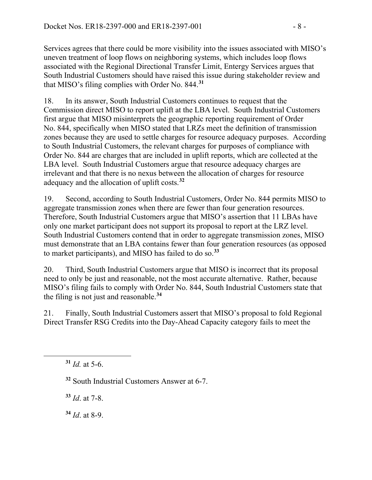Services agrees that there could be more visibility into the issues associated with MISO's uneven treatment of loop flows on neighboring systems, which includes loop flows associated with the Regional Directional Transfer Limit, Entergy Services argues that South Industrial Customers should have raised this issue during stakeholder review and that MISO's filing complies with Order No. 844.**[31](#page-7-0)**

18. In its answer, South Industrial Customers continues to request that the Commission direct MISO to report uplift at the LBA level. South Industrial Customers first argue that MISO misinterprets the geographic reporting requirement of Order No. 844, specifically when MISO stated that LRZs meet the definition of transmission zones because they are used to settle charges for resource adequacy purposes. According to South Industrial Customers, the relevant charges for purposes of compliance with Order No. 844 are charges that are included in uplift reports, which are collected at the LBA level. South Industrial Customers argue that resource adequacy charges are irrelevant and that there is no nexus between the allocation of charges for resource adequacy and the allocation of uplift costs.**[32](#page-7-1)**

19. Second, according to South Industrial Customers, Order No. 844 permits MISO to aggregate transmission zones when there are fewer than four generation resources. Therefore, South Industrial Customers argue that MISO's assertion that 11 LBAs have only one market participant does not support its proposal to report at the LRZ level. South Industrial Customers contend that in order to aggregate transmission zones, MISO must demonstrate that an LBA contains fewer than four generation resources (as opposed to market participants), and MISO has failed to do so.**[33](#page-7-2)**

20. Third, South Industrial Customers argue that MISO is incorrect that its proposal need to only be just and reasonable, not the most accurate alternative. Rather, because MISO's filing fails to comply with Order No. 844, South Industrial Customers state that the filing is not just and reasonable.**[34](#page-7-3)**

21. Finally, South Industrial Customers assert that MISO's proposal to fold Regional Direct Transfer RSG Credits into the Day-Ahead Capacity category fails to meet the

<span id="page-7-2"></span><span id="page-7-1"></span><span id="page-7-0"></span> $\overline{a}$ 

**<sup>32</sup>** South Industrial Customers Answer at 6-7.

**<sup>33</sup>** *Id*. at 7-8.

<span id="page-7-3"></span>**<sup>34</sup>** *Id*. at 8-9.

**<sup>31</sup>** *Id.* at 5-6.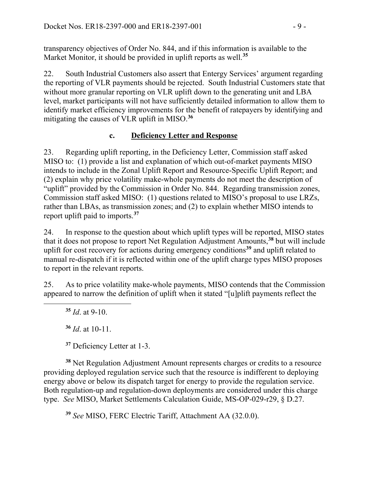transparency objectives of Order No. 844, and if this information is available to the Market Monitor, it should be provided in uplift reports as well.**[35](#page-8-0)**

22. South Industrial Customers also assert that Entergy Services' argument regarding the reporting of VLR payments should be rejected. South Industrial Customers state that without more granular reporting on VLR uplift down to the generating unit and LBA level, market participants will not have sufficiently detailed information to allow them to identify market efficiency improvements for the benefit of ratepayers by identifying and mitigating the causes of VLR uplift in MISO.**[36](#page-8-1)**

### **c. Deficiency Letter and Response**

23. Regarding uplift reporting, in the Deficiency Letter, Commission staff asked MISO to: (1) provide a list and explanation of which out-of-market payments MISO intends to include in the Zonal Uplift Report and Resource-Specific Uplift Report; and (2) explain why price volatility make-whole payments do not meet the description of "uplift" provided by the Commission in Order No. 844. Regarding transmission zones, Commission staff asked MISO: (1) questions related to MISO's proposal to use LRZs, rather than LBAs, as transmission zones; and (2) to explain whether MISO intends to report uplift paid to imports.**[37](#page-8-2)**

24. In response to the question about which uplift types will be reported, MISO states that it does not propose to report Net Regulation Adjustment Amounts,**[38](#page-8-3)** but will include uplift for cost recovery for actions during emergency conditions**[39](#page-8-4)** and uplift related to manual re-dispatch if it is reflected within one of the uplift charge types MISO proposes to report in the relevant reports.

25. As to price volatility make-whole payments, MISO contends that the Commission appeared to narrow the definition of uplift when it stated "[u]plift payments reflect the

**<sup>35</sup>** *Id*. at 9-10.

<span id="page-8-1"></span><span id="page-8-0"></span> $\overline{a}$ 

**<sup>36</sup>** *Id*. at 10-11.

**<sup>37</sup>** Deficiency Letter at 1-3.

<span id="page-8-3"></span><span id="page-8-2"></span>**<sup>38</sup>** Net Regulation Adjustment Amount represents charges or credits to a resource providing deployed regulation service such that the resource is indifferent to deploying energy above or below its dispatch target for energy to provide the regulation service. Both regulation-up and regulation-down deployments are considered under this charge type. *See* MISO, Market Settlements Calculation Guide, MS-OP-029-r29, § D.27.

<span id="page-8-4"></span>**<sup>39</sup>** *See* MISO, FERC Electric Tariff, Attachment AA (32.0.0).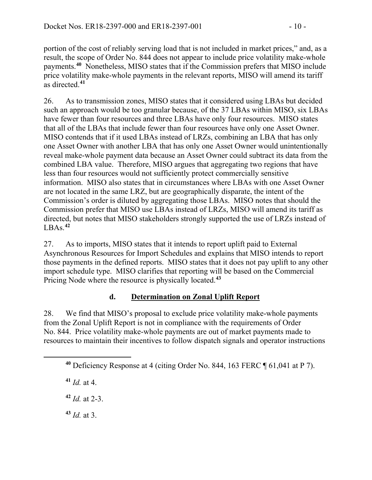portion of the cost of reliably serving load that is not included in market prices," and, as a result, the scope of Order No. 844 does not appear to include price volatility make-whole payments.**[40](#page-9-0)** Nonetheless, MISO states that if the Commission prefers that MISO include price volatility make-whole payments in the relevant reports, MISO will amend its tariff as directed.**[41](#page-9-1)**

26. As to transmission zones, MISO states that it considered using LBAs but decided such an approach would be too granular because, of the 37 LBAs within MISO, six LBAs have fewer than four resources and three LBAs have only four resources. MISO states that all of the LBAs that include fewer than four resources have only one Asset Owner. MISO contends that if it used LBAs instead of LRZs, combining an LBA that has only one Asset Owner with another LBA that has only one Asset Owner would unintentionally reveal make-whole payment data because an Asset Owner could subtract its data from the combined LBA value. Therefore, MISO argues that aggregating two regions that have less than four resources would not sufficiently protect commercially sensitive information. MISO also states that in circumstances where LBAs with one Asset Owner are not located in the same LRZ, but are geographically disparate, the intent of the Commission's order is diluted by aggregating those LBAs. MISO notes that should the Commission prefer that MISO use LBAs instead of LRZs, MISO will amend its tariff as directed, but notes that MISO stakeholders strongly supported the use of LRZs instead of  $LBAs<sup>42</sup>$  $LBAs<sup>42</sup>$  $LBAs<sup>42</sup>$ 

27. As to imports, MISO states that it intends to report uplift paid to External Asynchronous Resources for Import Schedules and explains that MISO intends to report those payments in the defined reports. MISO states that it does not pay uplift to any other import schedule type. MISO clarifies that reporting will be based on the Commercial Pricing Node where the resource is physically located.**[43](#page-9-3)**

### **d. Determination on Zonal Uplift Report**

28. We find that MISO's proposal to exclude price volatility make-whole payments from the Zonal Uplift Report is not in compliance with the requirements of Order No. 844. Price volatility make-whole payments are out of market payments made to resources to maintain their incentives to follow dispatch signals and operator instructions

<span id="page-9-2"></span><span id="page-9-1"></span><span id="page-9-0"></span> $\overline{a}$ 

- **<sup>42</sup>** *Id.* at 2-3.
- <span id="page-9-3"></span>**<sup>43</sup>** *Id.* at 3.

**<sup>40</sup>** Deficiency Response at 4 (citing Order No. 844, 163 FERC ¶ 61,041 at P 7).

**<sup>41</sup>** *Id.* at 4.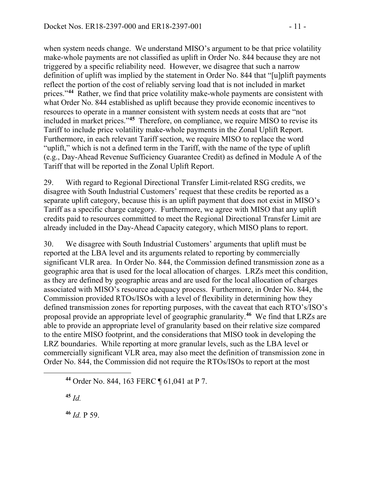when system needs change. We understand MISO's argument to be that price volatility make-whole payments are not classified as uplift in Order No. 844 because they are not triggered by a specific reliability need. However, we disagree that such a narrow definition of uplift was implied by the statement in Order No. 844 that "[u]plift payments reflect the portion of the cost of reliably serving load that is not included in market prices."**[44](#page-10-0)** Rather, we find that price volatility make-whole payments are consistent with what Order No. 844 established as uplift because they provide economic incentives to resources to operate in a manner consistent with system needs at costs that are "not included in market prices."**[45](#page-10-1)** Therefore, on compliance, we require MISO to revise its Tariff to include price volatility make-whole payments in the Zonal Uplift Report. Furthermore, in each relevant Tariff section, we require MISO to replace the word "uplift," which is not a defined term in the Tariff, with the name of the type of uplift (e.g., Day-Ahead Revenue Sufficiency Guarantee Credit) as defined in Module A of the Tariff that will be reported in the Zonal Uplift Report.

29. With regard to Regional Directional Transfer Limit-related RSG credits, we disagree with South Industrial Customers' request that these credits be reported as a separate uplift category, because this is an uplift payment that does not exist in MISO's Tariff as a specific charge category. Furthermore, we agree with MISO that any uplift credits paid to resources committed to meet the Regional Directional Transfer Limit are already included in the Day-Ahead Capacity category, which MISO plans to report.

30. We disagree with South Industrial Customers' arguments that uplift must be reported at the LBA level and its arguments related to reporting by commercially significant VLR area. In Order No. 844, the Commission defined transmission zone as a geographic area that is used for the local allocation of charges. LRZs meet this condition, as they are defined by geographic areas and are used for the local allocation of charges associated with MISO's resource adequacy process. Furthermore, in Order No. 844, the Commission provided RTOs/ISOs with a level of flexibility in determining how they defined transmission zones for reporting purposes, with the caveat that each RTO's/ISO's proposal provide an appropriate level of geographic granularity.**[46](#page-10-2)** We find that LRZs are able to provide an appropriate level of granularity based on their relative size compared to the entire MISO footprint, and the considerations that MISO took in developing the LRZ boundaries. While reporting at more granular levels, such as the LBA level or commercially significant VLR area, may also meet the definition of transmission zone in Order No. 844, the Commission did not require the RTOs/ISOs to report at the most

**<sup>45</sup>** *Id.*

<span id="page-10-2"></span><span id="page-10-1"></span><span id="page-10-0"></span> $\overline{a}$ 

**<sup>46</sup>** *Id.* P 59.

**<sup>44</sup>** Order No. 844, 163 FERC ¶ 61,041 at P 7.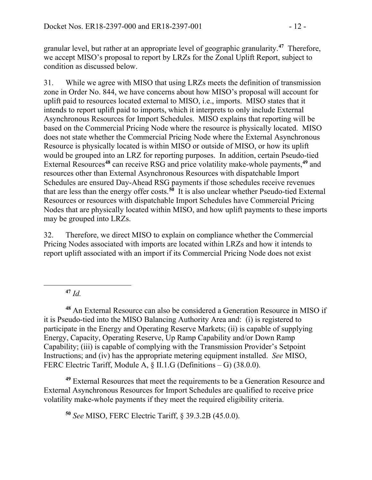granular level, but rather at an appropriate level of geographic granularity.**[47](#page-11-0)** Therefore, we accept MISO's proposal to report by LRZs for the Zonal Uplift Report, subject to condition as discussed below.

31. While we agree with MISO that using LRZs meets the definition of transmission zone in Order No. 844, we have concerns about how MISO's proposal will account for uplift paid to resources located external to MISO, i.e., imports. MISO states that it intends to report uplift paid to imports, which it interprets to only include External Asynchronous Resources for Import Schedules. MISO explains that reporting will be based on the Commercial Pricing Node where the resource is physically located. MISO does not state whether the Commercial Pricing Node where the External Asynchronous Resource is physically located is within MISO or outside of MISO, or how its uplift would be grouped into an LRZ for reporting purposes. In addition, certain Pseudo-tied External Resources**[48](#page-11-1)** can receive RSG and price volatility make-whole payments,**[49](#page-11-2)** and resources other than External Asynchronous Resources with dispatchable Import Schedules are ensured Day-Ahead RSG payments if those schedules receive revenues that are less than the energy offer costs. **[50](#page-11-3)** It is also unclear whether Pseudo-tied External Resources or resources with dispatchable Import Schedules have Commercial Pricing Nodes that are physically located within MISO, and how uplift payments to these imports may be grouped into LRZs.

32. Therefore, we direct MISO to explain on compliance whether the Commercial Pricing Nodes associated with imports are located within LRZs and how it intends to report uplift associated with an import if its Commercial Pricing Node does not exist

**<sup>47</sup>** *Id.* 

<span id="page-11-0"></span> $\overline{a}$ 

<span id="page-11-1"></span>**<sup>48</sup>** An External Resource can also be considered a Generation Resource in MISO if it is Pseudo-tied into the MISO Balancing Authority Area and: (i) is registered to participate in the Energy and Operating Reserve Markets; (ii) is capable of supplying Energy, Capacity, Operating Reserve, Up Ramp Capability and/or Down Ramp Capability; (iii) is capable of complying with the Transmission Provider's Setpoint Instructions; and (iv) has the appropriate metering equipment installed. *See* MISO, FERC Electric Tariff, Module A, § II.1.G (Definitions – G) (38.0.0).

<span id="page-11-3"></span><span id="page-11-2"></span>**<sup>49</sup>** External Resources that meet the requirements to be a Generation Resource and External Asynchronous Resources for Import Schedules are qualified to receive price volatility make-whole payments if they meet the required eligibility criteria.

**<sup>50</sup>** *See* MISO, FERC Electric Tariff, § 39.3.2B (45.0.0).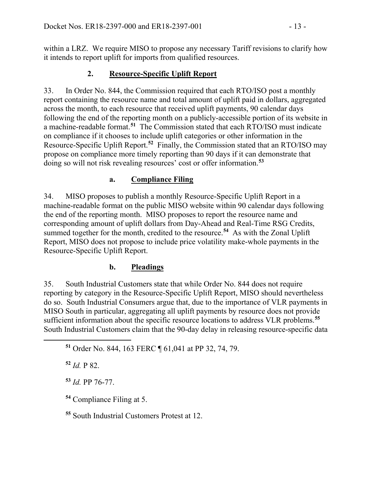within a LRZ. We require MISO to propose any necessary Tariff revisions to clarify how it intends to report uplift for imports from qualified resources.

#### **2. Resource-Specific Uplift Report**

33. In Order No. 844, the Commission required that each RTO/ISO post a monthly report containing the resource name and total amount of uplift paid in dollars, aggregated across the month, to each resource that received uplift payments, 90 calendar days following the end of the reporting month on a publicly-accessible portion of its website in a machine-readable format.**[51](#page-12-0)** The Commission stated that each RTO/ISO must indicate on compliance if it chooses to include uplift categories or other information in the Resource-Specific Uplift Report.**[52](#page-12-1)** Finally, the Commission stated that an RTO/ISO may propose on compliance more timely reporting than 90 days if it can demonstrate that doing so will not risk revealing resources' cost or offer information.**[53](#page-12-2)**

#### **a. Compliance Filing**

34. MISO proposes to publish a monthly Resource-Specific Uplift Report in a machine-readable format on the public MISO website within 90 calendar days following the end of the reporting month. MISO proposes to report the resource name and corresponding amount of uplift dollars from Day-Ahead and Real-Time RSG Credits, summed together for the month, credited to the resource.<sup>[54](#page-12-3)</sup> As with the Zonal Uplift Report, MISO does not propose to include price volatility make-whole payments in the Resource-Specific Uplift Report.

#### **b. Pleadings**

35. South Industrial Customers state that while Order No. 844 does not require reporting by category in the Resource-Specific Uplift Report, MISO should nevertheless do so. South Industrial Consumers argue that, due to the importance of VLR payments in MISO South in particular, aggregating all uplift payments by resource does not provide sufficient information about the specific resource locations to address VLR problems.**[55](#page-12-4)** South Industrial Customers claim that the 90-day delay in releasing resource-specific data

**<sup>51</sup>** Order No. 844, 163 FERC ¶ 61,041 at PP 32, 74, 79.

**<sup>52</sup>** *Id.* P 82.

<span id="page-12-2"></span><span id="page-12-1"></span><span id="page-12-0"></span> $\overline{a}$ 

**<sup>53</sup>** *Id.* PP 76-77.

<span id="page-12-3"></span>**<sup>54</sup>** Compliance Filing at 5.

<span id="page-12-4"></span>**<sup>55</sup>** South Industrial Customers Protest at 12.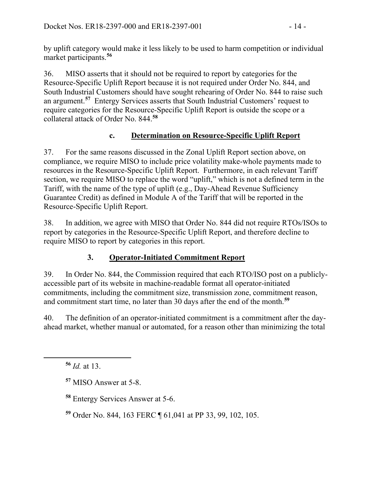by uplift category would make it less likely to be used to harm competition or individual market participants.**[56](#page-13-0)**

36. MISO asserts that it should not be required to report by categories for the Resource-Specific Uplift Report because it is not required under Order No. 844, and South Industrial Customers should have sought rehearing of Order No. 844 to raise such an argument.**[57](#page-13-1)** Entergy Services asserts that South Industrial Customers' request to require categories for the Resource-Specific Uplift Report is outside the scope or a collateral attack of Order No. 844.**[58](#page-13-2)**

### **c. Determination on Resource-Specific Uplift Report**

37. For the same reasons discussed in the Zonal Uplift Report section above, on compliance, we require MISO to include price volatility make-whole payments made to resources in the Resource-Specific Uplift Report. Furthermore, in each relevant Tariff section, we require MISO to replace the word "uplift," which is not a defined term in the Tariff, with the name of the type of uplift (e.g., Day-Ahead Revenue Sufficiency Guarantee Credit) as defined in Module A of the Tariff that will be reported in the Resource-Specific Uplift Report.

38. In addition, we agree with MISO that Order No. 844 did not require RTOs/ISOs to report by categories in the Resource-Specific Uplift Report, and therefore decline to require MISO to report by categories in this report.

### **3. Operator-Initiated Commitment Report**

39. In Order No. 844, the Commission required that each RTO/ISO post on a publiclyaccessible part of its website in machine-readable format all operator-initiated commitments, including the commitment size, transmission zone, commitment reason, and commitment start time, no later than 30 days after the end of the month.**[59](#page-13-3)**

40. The definition of an operator-initiated commitment is a commitment after the dayahead market, whether manual or automated, for a reason other than minimizing the total

**<sup>56</sup>** *Id.* at 13.

<span id="page-13-2"></span><span id="page-13-1"></span><span id="page-13-0"></span> $\overline{a}$ 

**<sup>58</sup>** Entergy Services Answer at 5-6.

<span id="page-13-3"></span>**<sup>59</sup>** Order No. 844, 163 FERC ¶ 61,041 at PP 33, 99, 102, 105.

**<sup>57</sup>** MISO Answer at 5-8.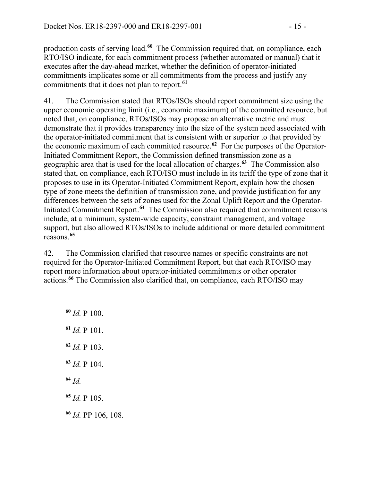production costs of serving load.**[60](#page-14-0)** The Commission required that, on compliance, each RTO/ISO indicate, for each commitment process (whether automated or manual) that it executes after the day-ahead market, whether the definition of operator-initiated commitments implicates some or all commitments from the process and justify any commitments that it does not plan to report.**[61](#page-14-1)**

41. The Commission stated that RTOs/ISOs should report commitment size using the upper economic operating limit (i.e., economic maximum) of the committed resource, but noted that, on compliance, RTOs/ISOs may propose an alternative metric and must demonstrate that it provides transparency into the size of the system need associated with the operator-initiated commitment that is consistent with or superior to that provided by the economic maximum of each committed resource.**[62](#page-14-2)** For the purposes of the Operator-Initiated Commitment Report, the Commission defined transmission zone as a geographic area that is used for the local allocation of charges.**[63](#page-14-3)** The Commission also stated that, on compliance, each RTO/ISO must include in its tariff the type of zone that it proposes to use in its Operator-Initiated Commitment Report, explain how the chosen type of zone meets the definition of transmission zone, and provide justification for any differences between the sets of zones used for the Zonal Uplift Report and the Operator-Initiated Commitment Report.**[64](#page-14-4)** The Commission also required that commitment reasons include, at a minimum, system-wide capacity, constraint management, and voltage support, but also allowed RTOs/ISOs to include additional or more detailed commitment reasons.**[65](#page-14-5)**

42. The Commission clarified that resource names or specific constraints are not required for the Operator-Initiated Commitment Report, but that each RTO/ISO may report more information about operator-initiated commitments or other operator actions.**[66](#page-14-6)** The Commission also clarified that, on compliance, each RTO/ISO may

 *Id.* P 100. *Id.* P 101. *Id.* P 103. *Id.* P 104. **<sup>64</sup>** *Id. Id.* P 105. *Id.* PP 106, 108.

<span id="page-14-6"></span><span id="page-14-5"></span><span id="page-14-4"></span><span id="page-14-3"></span><span id="page-14-2"></span><span id="page-14-1"></span><span id="page-14-0"></span> $\overline{a}$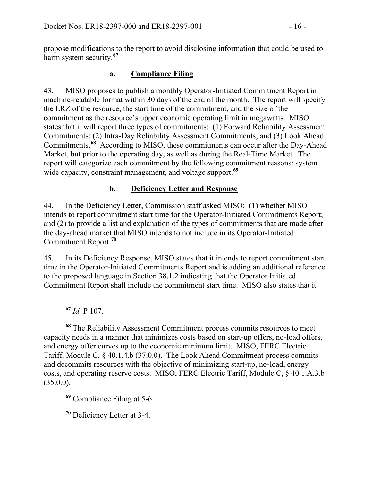propose modifications to the report to avoid disclosing information that could be used to harm system security.**[67](#page-15-0)**

#### **a. Compliance Filing**

43. MISO proposes to publish a monthly Operator-Initiated Commitment Report in machine-readable format within 30 days of the end of the month. The report will specify the LRZ of the resource, the start time of the commitment, and the size of the commitment as the resource's upper economic operating limit in megawatts. MISO states that it will report three types of commitments: (1) Forward Reliability Assessment Commitments; (2) Intra-Day Reliability Assessment Commitments; and (3) Look Ahead Commitments.**[68](#page-15-1)** According to MISO, these commitments can occur after the Day-Ahead Market, but prior to the operating day, as well as during the Real-Time Market. The report will categorize each commitment by the following commitment reasons: system wide capacity, constraint management, and voltage support.<sup>[69](#page-15-2)</sup>

#### **b. Deficiency Letter and Response**

44. In the Deficiency Letter, Commission staff asked MISO: (1) whether MISO intends to report commitment start time for the Operator-Initiated Commitments Report; and (2) to provide a list and explanation of the types of commitments that are made after the day-ahead market that MISO intends to not include in its Operator-Initiated Commitment Report. **[70](#page-15-3)**

45. In its Deficiency Response, MISO states that it intends to report commitment start time in the Operator-Initiated Commitments Report and is adding an additional reference to the proposed language in Section 38.1.2 indicating that the Operator Initiated Commitment Report shall include the commitment start time. MISO also states that it

**<sup>67</sup>** *Id.* P 107.

<span id="page-15-0"></span> $\overline{a}$ 

<span id="page-15-1"></span>**<sup>68</sup>** The Reliability Assessment Commitment process commits resources to meet capacity needs in a manner that minimizes costs based on start-up offers, no-load offers, and energy offer curves up to the economic minimum limit. MISO, FERC Electric Tariff, Module C, § 40.1.4.b (37.0.0). The Look Ahead Commitment process commits and decommits resources with the objective of minimizing start-up, no-load, energy costs, and operating reserve costs. MISO, FERC Electric Tariff, Module C, § 40.1.A.3.b (35.0.0).

<span id="page-15-2"></span>**<sup>69</sup>** Compliance Filing at 5-6.

<span id="page-15-3"></span>**<sup>70</sup>** Deficiency Letter at 3-4.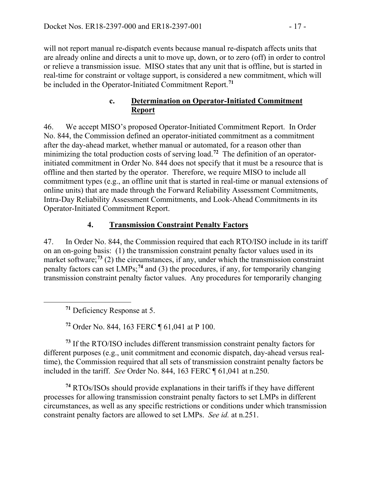will not report manual re-dispatch events because manual re-dispatch affects units that are already online and directs a unit to move up, down, or to zero (off) in order to control or relieve a transmission issue. MISO states that any unit that is offline, but is started in real-time for constraint or voltage support, is considered a new commitment, which will be included in the Operator-Initiated Commitment Report.**[71](#page-16-0)**

#### **c. Determination on Operator-Initiated Commitment Report**

46. We accept MISO's proposed Operator-Initiated Commitment Report. In Order No. 844, the Commission defined an operator-initiated commitment as a commitment after the day-ahead market, whether manual or automated, for a reason other than minimizing the total production costs of serving load.**[72](#page-16-1)** The definition of an operatorinitiated commitment in Order No. 844 does not specify that it must be a resource that is offline and then started by the operator. Therefore, we require MISO to include all commitment types (e.g., an offline unit that is started in real-time or manual extensions of online units) that are made through the Forward Reliability Assessment Commitments, Intra-Day Reliability Assessment Commitments, and Look-Ahead Commitments in its Operator-Initiated Commitment Report.

### **4. Transmission Constraint Penalty Factors**

47. In Order No. 844, the Commission required that each RTO/ISO include in its tariff on an on-going basis: (1) the transmission constraint penalty factor values used in its market software;<sup>[73](#page-16-2)</sup> (2) the circumstances, if any, under which the transmission constraint penalty factors can set LMPs;**[74](#page-16-3)** and (3) the procedures, if any, for temporarily changing transmission constraint penalty factor values. Any procedures for temporarily changing

**<sup>71</sup>** Deficiency Response at 5.

<span id="page-16-0"></span>

**<sup>72</sup>** Order No. 844, 163 FERC ¶ 61,041 at P 100.

<span id="page-16-2"></span><span id="page-16-1"></span>**<sup>73</sup>** If the RTO/ISO includes different transmission constraint penalty factors for different purposes (e.g., unit commitment and economic dispatch, day-ahead versus realtime), the Commission required that all sets of transmission constraint penalty factors be included in the tariff. *See* Order No. 844, 163 FERC ¶ 61,041 at n.250.

<span id="page-16-3"></span>**<sup>74</sup>** RTOs/ISOs should provide explanations in their tariffs if they have different processes for allowing transmission constraint penalty factors to set LMPs in different circumstances, as well as any specific restrictions or conditions under which transmission constraint penalty factors are allowed to set LMPs. *See id.* at n.251.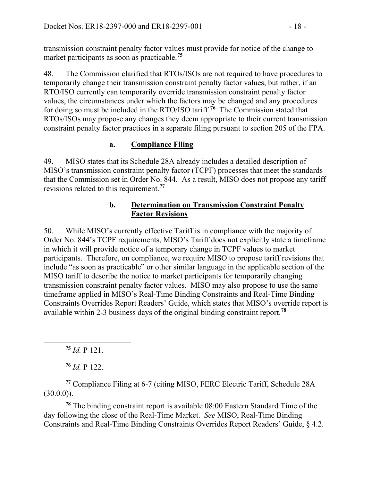transmission constraint penalty factor values must provide for notice of the change to market participants as soon as practicable.**[75](#page-17-0)**

48. The Commission clarified that RTOs/ISOs are not required to have procedures to temporarily change their transmission constraint penalty factor values, but rather, if an RTO/ISO currently can temporarily override transmission constraint penalty factor values, the circumstances under which the factors may be changed and any procedures for doing so must be included in the RTO/ISO tariff.**[76](#page-17-1)** The Commission stated that RTOs/ISOs may propose any changes they deem appropriate to their current transmission constraint penalty factor practices in a separate filing pursuant to section 205 of the FPA.

### **a. Compliance Filing**

49. MISO states that its Schedule 28A already includes a detailed description of MISO's transmission constraint penalty factor (TCPF) processes that meet the standards that the Commission set in Order No. 844. As a result, MISO does not propose any tariff revisions related to this requirement.**[77](#page-17-2)**

#### **b. Determination on Transmission Constraint Penalty Factor Revisions**

50. While MISO's currently effective Tariff is in compliance with the majority of Order No. 844's TCPF requirements, MISO's Tariff does not explicitly state a timeframe in which it will provide notice of a temporary change in TCPF values to market participants. Therefore, on compliance, we require MISO to propose tariff revisions that include "as soon as practicable" or other similar language in the applicable section of the MISO tariff to describe the notice to market participants for temporarily changing transmission constraint penalty factor values. MISO may also propose to use the same timeframe applied in MISO's Real-Time Binding Constraints and Real-Time Binding Constraints Overrides Report Readers' Guide, which states that MISO's override report is available within 2-3 business days of the original binding constraint report.**[78](#page-17-3)**

**<sup>75</sup>** *Id.* P 121.

<span id="page-17-0"></span> $\overline{a}$ 

**<sup>76</sup>** *Id.* P 122.

<span id="page-17-2"></span><span id="page-17-1"></span>**<sup>77</sup>** Compliance Filing at 6-7 (citing MISO, FERC Electric Tariff, Schedule 28A  $(30.0.0)$ ).

<span id="page-17-3"></span>**<sup>78</sup>** The binding constraint report is available 08:00 Eastern Standard Time of the day following the close of the Real-Time Market. *See* MISO, Real-Time Binding Constraints and Real-Time Binding Constraints Overrides Report Readers' Guide, § 4.2.